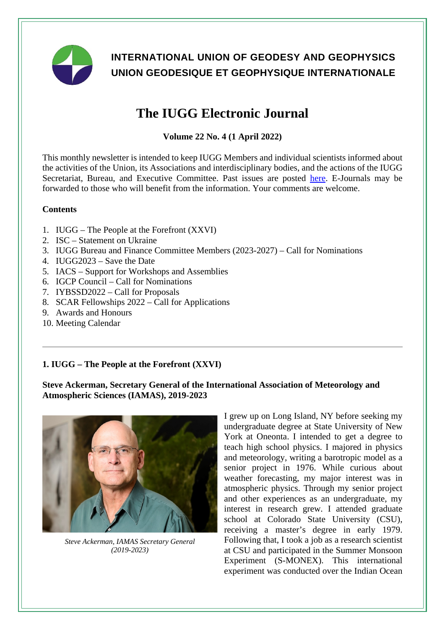

# **INTERNATIONAL UNION OF GEODESY AND GEOPHYSICS UNION GEODESIQUE ET GEOPHYSIQUE INTERNATIONALE**

# **The IUGG Electronic Journal**

# **Volume 22 No. 4 (1 April 2022)**

This monthly newsletter is intended to keep IUGG Members and individual scientists informed about the activities of the Union, its Associations and interdisciplinary bodies, and the actions of the IUGG Secretariat. Bureau, and Executive Committee. Past issues are posted [here.](http://www.iugg.org/publications/ejournals/) E-Journals may be forwarded to those who will benefit from the information. Your comments are welcome.

# **Contents**

- 1. IUGG The People at the Forefront (XXVI)
- 2. ISC Statement on Ukraine
- 3. IUGG Bureau and Finance Committee Members (2023-2027) Call for Nominations
- 4. IUGG2023 Save the Date
- 5. IACS Support for Workshops and Assemblies
- 6. IGCP Council Call for Nominations
- 7. IYBSSD2022 Call for Proposals
- 8. SCAR Fellowships 2022 Call for Applications
- 9. Awards and Honours
- 10. Meeting Calendar

# **1. IUGG – The People at the Forefront (XXVI)**

**Steve Ackerman, Secretary General of the International Association of Meteorology and Atmospheric Sciences (IAMAS), 2019-2023**



*Steve Ackerman, IAMAS Secretary General (2019-2023)*

I grew up on Long Island, NY before seeking my undergraduate degree at State University of New York at Oneonta. I intended to get a degree to teach high school physics. I majored in physics and meteorology, writing a barotropic model as a senior project in 1976. While curious about weather forecasting, my major interest was in atmospheric physics. Through my senior project and other experiences as an undergraduate, my interest in research grew. I attended graduate school at Colorado State University (CSU), receiving a master's degree in early 1979. Following that, I took a job as a research scientist at CSU and participated in the Summer Monsoon Experiment (S-MONEX). This international experiment was conducted over the Indian Ocean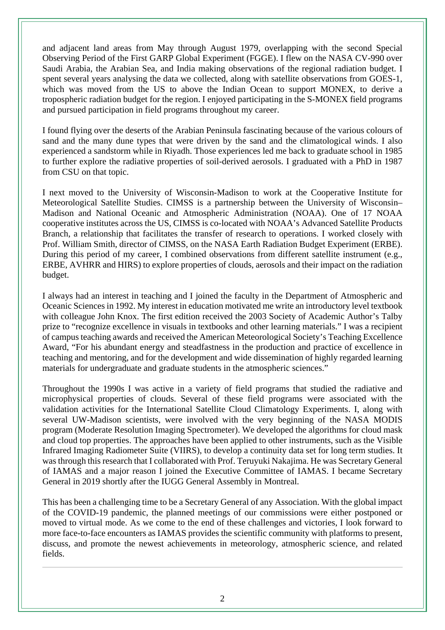and adjacent land areas from May through August 1979, overlapping with the second Special Observing Period of the First GARP Global Experiment (FGGE). I flew on the NASA CV-990 over Saudi Arabia, the Arabian Sea, and India making observations of the regional radiation budget. I spent several years analysing the data we collected, along with satellite observations from GOES-1, which was moved from the US to above the Indian Ocean to support MONEX, to derive a tropospheric radiation budget for the region. I enjoyed participating in the S-MONEX field programs and pursued participation in field programs throughout my career.

I found flying over the deserts of the Arabian Peninsula fascinating because of the various colours of sand and the many dune types that were driven by the sand and the climatological winds. I also experienced a sandstorm while in Riyadh. Those experiences led me back to graduate school in 1985 to further explore the radiative properties of soil-derived aerosols. I graduated with a PhD in 1987 from CSU on that topic.

I next moved to the University of Wisconsin-Madison to work at the Cooperative Institute for Meteorological Satellite Studies. CIMSS is a partnership between the University of Wisconsin– Madison and National Oceanic and Atmospheric Administration (NOAA). One of 17 NOAA cooperative institutes across the US, CIMSS is co-located with NOAA's Advanced Satellite Products Branch, a relationship that facilitates the transfer of research to operations. I worked closely with Prof. William Smith, director of CIMSS, on the NASA Earth Radiation Budget Experiment (ERBE). During this period of my career, I combined observations from different satellite instrument (e.g., ERBE, AVHRR and HIRS) to explore properties of clouds, aerosols and their impact on the radiation budget.

I always had an interest in teaching and I joined the faculty in the Department of Atmospheric and Oceanic Sciences in 1992. My interest in education motivated me write an introductory level textbook with colleague John Knox. The first edition received the 2003 Society of Academic Author's Talby prize to "recognize excellence in visuals in textbooks and other learning materials." I was a recipient of campus teaching awards and received the American Meteorological Society's Teaching Excellence Award, "For his abundant energy and steadfastness in the production and practice of excellence in teaching and mentoring, and for the development and wide dissemination of highly regarded learning materials for undergraduate and graduate students in the atmospheric sciences."

Throughout the 1990s I was active in a variety of field programs that studied the radiative and microphysical properties of clouds. Several of these field programs were associated with the validation activities for the International Satellite Cloud Climatology Experiments. I, along with several UW-Madison scientists, were involved with the very beginning of the NASA MODIS program (Moderate Resolution Imaging Spectrometer). We developed the algorithms for cloud mask and cloud top properties. The approaches have been applied to other instruments, such as the Visible Infrared Imaging Radiometer Suite (VIIRS), to develop a continuity data set for long term studies. It was through this research that I collaborated with Prof. Teruyuki Nakajima. He was Secretary General of IAMAS and a major reason I joined the Executive Committee of IAMAS. I became Secretary General in 2019 shortly after the IUGG General Assembly in Montreal.

This has been a challenging time to be a Secretary General of any Association. With the global impact of the COVID-19 pandemic, the planned meetings of our commissions were either postponed or moved to virtual mode. As we come to the end of these challenges and victories, I look forward to more face-to-face encounters as IAMAS provides the scientific community with platforms to present, discuss, and promote the newest achievements in meteorology, atmospheric science, and related fields.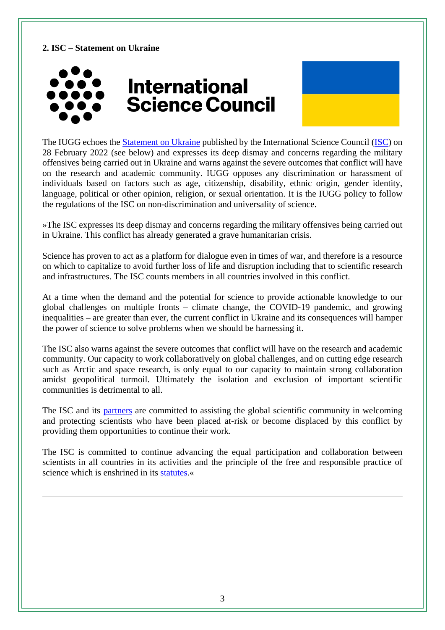# **2. ISC – Statement on Ukraine**



The IUGG echoes the **Statement on Ukraine** published by the International Science Council [\(ISC\)](https://council.science/) on 28 February 2022 (see below) and expresses its deep dismay and concerns regarding the military offensives being carried out in Ukraine and warns against the severe outcomes that conflict will have on the research and academic community. IUGG opposes any discrimination or harassment of individuals based on factors such as age, citizenship, disability, ethnic origin, gender identity, language, political or other opinion, religion, or sexual orientation. It is the IUGG policy to follow the regulations of the ISC on non-discrimination and universality of science.

»The ISC expresses its deep dismay and concerns regarding the military offensives being carried out in Ukraine. This conflict has already generated a grave humanitarian crisis.

Science has proven to act as a platform for dialogue even in times of war, and therefore is a resource on which to capitalize to avoid further loss of life and disruption including that to scientific research and infrastructures. The ISC counts members in all countries involved in this conflict.

At a time when the demand and the potential for science to provide actionable knowledge to our global challenges on multiple fronts – climate change, the COVID-19 pandemic, and growing inequalities – are greater than ever, the current conflict in Ukraine and its consequences will hamper the power of science to solve problems when we should be harnessing it.

The ISC also warns against the severe outcomes that conflict will have on the research and academic community. Our capacity to work collaboratively on global challenges, and on cutting edge research such as Arctic and space research, is only equal to our capacity to maintain strong collaboration amidst geopolitical turmoil. Ultimately the isolation and exclusion of important scientific communities is detrimental to all.

The ISC and its [partners](https://council.science/actionplan/science-in-exile/) are committed to assisting the global scientific community in welcoming and protecting scientists who have been placed at-risk or become displaced by this conflict by providing them opportunities to continue their work.

The ISC is committed to continue advancing the equal participation and collaboration between scientists in all countries in its activities and the principle of the free and responsible practice of science which is enshrined in its [statutes.](https://council.science/what-we-do/freedoms-and-responsibilities-of-scientists/)«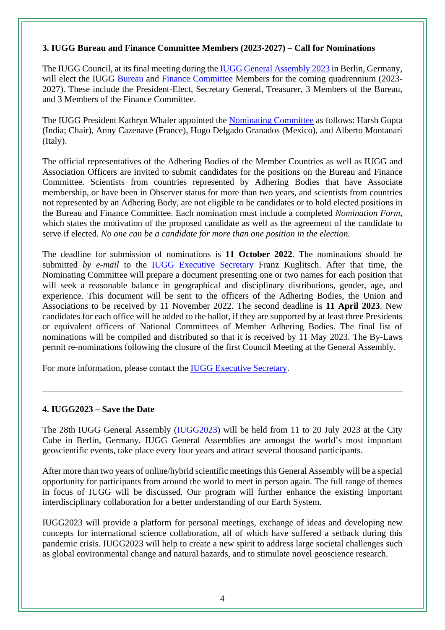#### **3. IUGG Bureau and Finance Committee Members (2023-2027) – Call for Nominations**

The IUGG Council, at its final meeting during th[e IUGG General Assembly](https://www.iugg2023berlin.org/) 2023 in Berlin, Germany, will elect the IUGG [Bureau](http://www.iugg.org/administration/bureau.php) and [Finance Committee](http://www.iugg.org/administration/finance.php) Members for the coming quadrennium (2023-2027). These include the President-Elect, Secretary General, Treasurer, 3 Members of the Bureau, and 3 Members of the Finance Committee.

The IUGG President Kathryn Whaler appointed the [Nominating Committee](http://iugg.org/administration/nominating_cmt.php) as follows: Harsh Gupta (India; Chair), Anny Cazenave (France), Hugo Delgado Granados (Mexico), and Alberto Montanari (Italy).

The official representatives of the Adhering Bodies of the Member Countries as well as IUGG and Association Officers are invited to submit candidates for the positions on the Bureau and Finance Committee. Scientists from countries represented by Adhering Bodies that have Associate membership, or have been in Observer status for more than two years, and scientists from countries not represented by an Adhering Body, are not eligible to be candidates or to hold elected positions in the Bureau and Finance Committee. Each nomination must include a completed *Nomination Form*, which states the motivation of the proposed candidate as well as the agreement of the candidate to serve if elected. *No one can be a candidate for more than one position in the election.*

The deadline for submission of nominations is **11 October 2022**. The nominations should be submitted *by e-mail* to the [IUGG Executive Secretary](mailto:fgkugl@gfz-potsdam.de) Franz Kuglitsch. After that time, the Nominating Committee will prepare a document presenting one or two names for each position that will seek a reasonable balance in geographical and disciplinary distributions, gender, age, and experience. This document will be sent to the officers of the Adhering Bodies, the Union and Associations to be received by 11 November 2022. The second deadline is **11 April 2023**. New candidates for each office will be added to the ballot, if they are supported by at least three Presidents or equivalent officers of National Committees of Member Adhering Bodies. The final list of nominations will be compiled and distributed so that it is received by 11 May 2023. The By-Laws permit re-nominations following the closure of the first Council Meeting at the General Assembly.

For more information, please contact the [IUGG Executive Secretary.](mailto:fgkugl@gfz-potsdam.de)

# **4. IUGG2023 – Save the Date**

The 28th IUGG General Assembly [\(IUGG2023\)](https://www.iugg2023berlin.org/) will be held from 11 to 20 July 2023 at the City Cube in Berlin, Germany. IUGG General Assemblies are amongst the world's most important geoscientific events, take place every four years and attract several thousand participants.

After more than two years of online/hybrid scientific meetings this General Assembly will be a special opportunity for participants from around the world to meet in person again. The full range of themes in focus of IUGG will be discussed. Our program will further enhance the existing important interdisciplinary collaboration for a better understanding of our Earth System.

IUGG2023 will provide a platform for personal meetings, exchange of ideas and developing new concepts for international science collaboration, all of which have suffered a setback during this pandemic crisis. IUGG2023 will help to create a new spirit to address large societal challenges such as global environmental change and natural hazards, and to stimulate novel geoscience research.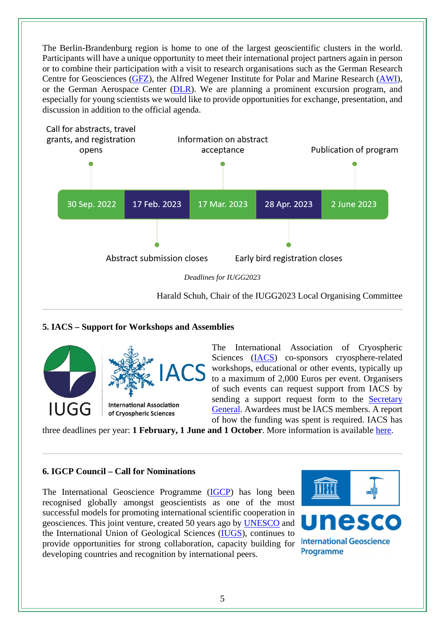The Berlin-Brandenburg region is home to one of the largest geoscientific clusters in the world. Participants will have a unique opportunity to meet their international project partners again in person or to combine their participation with a visit to research organisations such as the German Research Centre for Geosciences [\(GFZ\)](https://www.gfz-potsdam.de/en/home/), the Alfred Wegener Institute for Polar and Marine Research [\(AWI\)](https://www.awi.de/en/), or the German Aerospace Center [\(DLR\)](https://www.dlr.de/EN/Home/home_node.html). We are planning a prominent excursion program, and especially for young scientists we would like to provide opportunities for exchange, presentation, and discussion in addition to the official agenda.



# **5. IACS – Support for Workshops and Assemblies**



The International Association of Cryospheric Sciences [\(IACS\)](https://cryosphericsciences.org/) co-sponsors cryosphere-related workshops, educational or other events, typically up to a maximum of 2,000 Euros per event. Organisers of such events can request support from IACS by sending a support request form to the Secretary [General.](mailto:Richard.Essery@ed.ac.uk) Awardees must be IACS members. A report of how the funding was spent is required. IACS has

three deadlines per year: **1 February, 1 June and 1 October**. More information is available [here.](https://cryosphericsciences.org/grants/)

# **6. IGCP Council – Call for Nominations**

The International Geoscience Programme [\(IGCP\)](https://en.unesco.org/international-geoscience-programme) has long been recognised globally amongst geoscientists as one of the most successful models for promoting international scientific cooperation in geosciences. This joint venture, created 50 years ago by [UNESCO](https://www.unesco.org/en) and the International Union of Geological Sciences [\(IUGS\)](https://www.iugs.org/), continues to provide opportunities for strong collaboration, capacity building for developing countries and recognition by international peers.



**International Geoscience** Programme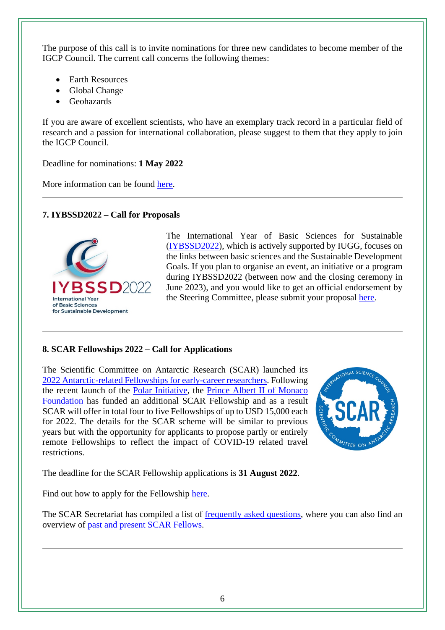The purpose of this call is to invite nominations for three new candidates to become member of the IGCP Council. The current call concerns the following themes:

- Earth Resources
- Global Change
- Geohazards

If you are aware of excellent scientists, who have an exemplary track record in a particular field of research and a passion for international collaboration, please suggest to them that they apply to join the IGCP Council.

Deadline for nominations: **1 May 2022**

More information can be found [here.](https://www.unesco.org/en/articles/call-application-become-member-international-geoscience-programme-council)

# **7. IYBSSD2022 – Call for Proposals**



The International Year of Basic Sciences for Sustainable [\(IYBSSD2022\)](https://www.iybssd2022.org/en/home/), which is actively supported by IUGG, focuses on the links between basic sciences and the Sustainable Development Goals. If you plan to organise an event, an initiative or a program during IYBSSD2022 (between now and the closing ceremony in June 2023), and you would like to get an official endorsement by the Steering Committee, please submit your proposal [here.](https://www.iybssd2022.org/en/your-proposal-for-the-program/)

# **8. SCAR Fellowships 2022 – Call for Applications**

The Scientific Committee on Antarctic Research (SCAR) launched its [2022 Antarctic-related Fellowships for early-career researchers.](https://www.scar.org/awards/fellowships/information/) Following the recent launch of the [Polar Initiative,](https://www.fpa2.org/en/initiatives/the-polar-initiative-012) the [Prince Albert II of Monaco](https://www.fpa2.org/en/index)  [Foundation](https://www.fpa2.org/en/index) has funded an additional SCAR Fellowship and as a result SCAR will offer in total four to five Fellowships of up to USD 15,000 each for 2022. The details for the SCAR scheme will be similar to previous years but with the opportunity for applicants to propose partly or entirely remote Fellowships to reflect the impact of COVID-19 related travel restrictions.



The deadline for the SCAR Fellowship applications is **31 August 2022**.

Find out how to apply for the Fellowship [here.](https://scar.org/awards/fellowships/information/)

The SCAR Secretariat has compiled a list of [frequently asked questions,](https://www.scar.org/awards/fellowships/faqs/) where you can also find an overview of [past and present SCAR Fellows.](https://www.scar.org/awards/fellowships/fellows/)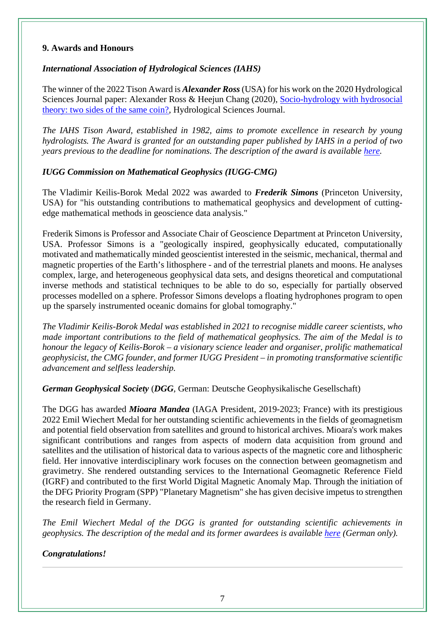#### **9. Awards and Honours**

# *International Association of Hydrological Sciences (IAHS)*

The winner of the 2022 Tison Award is *Alexander Ross* (USA) for his work on the 2020 Hydrological Sciences Journal paper: Alexander Ross & Heejun Chang (2020), [Socio-hydrology with hydrosocial](https://www.tandfonline.com/doi/full/10.1080/02626667.2020.1761023?journalCode=thsj20)  [theory: two sides of the same coin?,](https://www.tandfonline.com/doi/full/10.1080/02626667.2020.1761023?journalCode=thsj20) Hydrological Sciences Journal.

*The IAHS Tison Award, established in 1982, aims to promote excellence in research by young hydrologists. The Award is granted for an outstanding paper published by IAHS in a period of two years previous to the deadline for nominations. The description of the award is available [here.](https://iahs.info/About-IAHS/Competition--Events/Tison-Award.do)* 

# *IUGG Commission on Mathematical Geophysics (IUGG-CMG)*

The Vladimir Keilis-Borok Medal 2022 was awarded to *Frederik Simons* (Princeton University, USA) for "his outstanding contributions to mathematical geophysics and development of cuttingedge mathematical methods in geoscience data analysis."

Frederik Simons is Professor and Associate Chair of Geoscience Department at Princeton University, USA. Professor Simons is a "geologically inspired, geophysically educated, computationally motivated and mathematically minded geoscientist interested in the seismic, mechanical, thermal and magnetic properties of the Earth's lithosphere - and of the terrestrial planets and moons. He analyses complex, large, and heterogeneous geophysical data sets, and designs theoretical and computational inverse methods and statistical techniques to be able to do so, especially for partially observed processes modelled on a sphere. Professor Simons develops a floating hydrophones program to open up the sparsely instrumented oceanic domains for global tomography."

*The Vladimir Keilis-Borok Medal was established in 2021 to recognise middle career scientists, who made important contributions to the field of mathematical geophysics. The aim of the Medal is to honour the legacy of Keilis-Borok – a visionary science leader and organiser, prolific mathematical geophysicist, the CMG founder, and former IUGG President – in promoting transformative scientific advancement and selfless leadership.*

*German Geophysical Society* (*DGG*, German: Deutsche Geophysikalische Gesellschaft)

The DGG has awarded *Mioara Mandea* (IAGA President, 2019-2023; France) with its prestigious 2022 Emil Wiechert Medal for her outstanding scientific achievements in the fields of geomagnetism and potential field observation from satellites and ground to historical archives. Mioara's work makes significant contributions and ranges from aspects of modern data acquisition from ground and satellites and the utilisation of historical data to various aspects of the magnetic core and lithospheric field. Her innovative interdisciplinary work focuses on the connection between geomagnetism and gravimetry. She rendered outstanding services to the International Geomagnetic Reference Field (IGRF) and contributed to the first World Digital Magnetic Anomaly Map. Through the initiation of the DFG Priority Program (SPP) "Planetary Magnetism" she has given decisive impetus to strengthen the research field in Germany.

*The Emil Wiechert Medal of the DGG is granted for outstanding scientific achievements in geophysics. The description of the medal and its former awardees is available [here](https://dgg-online.de/emil-wiechert-medaille/) (German only).*

# *Congratulations!*